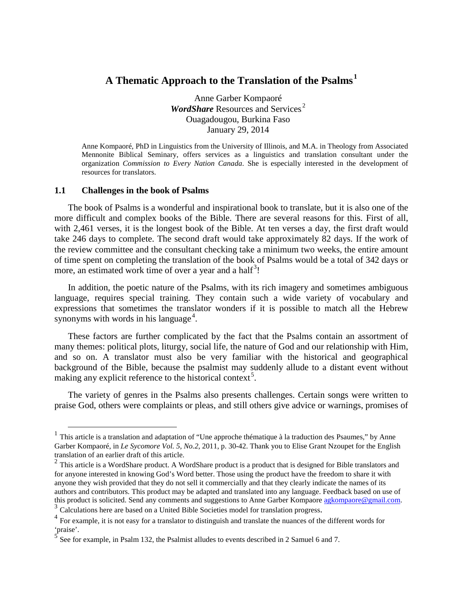# **A Thematic Approach to the Translation of the Psalms.<sup>1</sup>**

Anne Garber Kompaoré **WordShare** Resources and Services.<sup>2</sup> Ouagadougou, Burkina Faso January 29, 2014

Anne Kompaoré, PhD in Linguistics from the University of Illinois, and M.A. in Theology from Associated Mennonite Biblical Seminary, offers services as a linguistics and translation consultant under the organization *Commission to Every Nation Canada*. She is especially interested in the development of resources for translators.

#### **1.1 Challenges in the book of Psalms**

The book of Psalms is a wonderful and inspirational book to translate, but it is also one of the more difficult and complex books of the Bible. There are several reasons for this. First of all, with 2,461 verses, it is the longest book of the Bible. At ten verses a day, the first draft would take 246 days to complete. The second draft would take approximately 82 days. If the work of the review committee and the consultant checking take a minimum two weeks, the entire amount of time spent on completing the translation of the book of Psalms would be a total of 342 days or more, an estimated work time of over a year and a half<sup>3</sup>!

In addition, the poetic nature of the Psalms, with its rich imagery and sometimes ambiguous language, requires special training. They contain such a wide variety of vocabulary and expressions that sometimes the translator wonders if it is possible to match all the Hebrew synonyms with words in his language<sup>4</sup>.

These factors are further complicated by the fact that the Psalms contain an assortment of many themes: political plots, liturgy, social life, the nature of God and our relationship with Him, and so on. A translator must also be very familiar with the historical and geographical background of the Bible, because the psalmist may suddenly allude to a distant event without making any explicit reference to the historical context<sup>5</sup>.

The variety of genres in the Psalms also presents challenges. Certain songs were written to praise God, others were complaints or pleas, and still others give advice or warnings, promises of

<sup>&</sup>lt;sup>1</sup> This article is a translation and adaptation of "Une approche thématique à la traduction des Psaumes," by Anne Garber Kompaoré, in *Le Sycomore Vol. 5, No.2*, 2011, p. 30-42. Thank you to Elise Grant Nzoupet for the English translation of an earlier draft of this article.

 $2$  This article is a WordShare product. A WordShare product is a product that is designed for Bible translators and for anyone interested in knowing God's Word better. Those using the product have the freedom to share it with anyone they wish provided that they do not sell it commercially and that they clearly indicate the names of its authors and contributors. This product may be adapted and translated into any language. Feedback based on use of this product is solicited. Send any comments and suggestions to Anne Garber Kompaore agkompaore @gmail.com.

 $\frac{3}{4}$  Calculations here are based on a United Bible Societies model for translation progress.<br> $\frac{4}{4}$  For example, it is not easy for a translator to distinguish and translate the nuances of the different words for 'praise'.

<sup>5</sup> See for example, in Psalm 132, the Psalmist alludes to events described in 2 Samuel 6 and 7.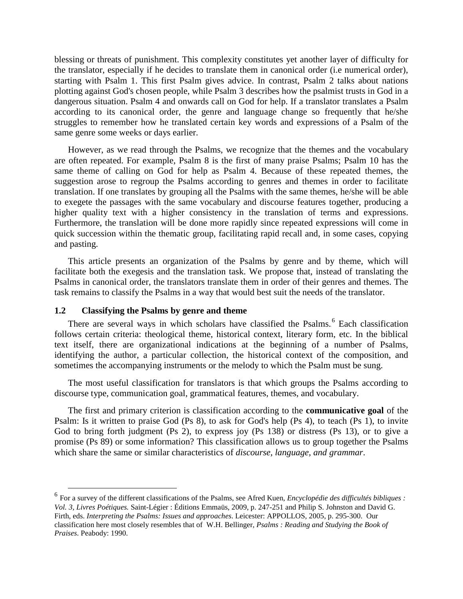blessing or threats of punishment. This complexity constitutes yet another layer of difficulty for the translator, especially if he decides to translate them in canonical order (i.e numerical order), starting with Psalm 1. This first Psalm gives advice. In contrast, Psalm 2 talks about nations plotting against God's chosen people, while Psalm 3 describes how the psalmist trusts in God in a dangerous situation. Psalm 4 and onwards call on God for help. If a translator translates a Psalm according to its canonical order, the genre and language change so frequently that he/she struggles to remember how he translated certain key words and expressions of a Psalm of the same genre some weeks or days earlier.

However, as we read through the Psalms, we recognize that the themes and the vocabulary are often repeated. For example, Psalm 8 is the first of many praise Psalms; Psalm 10 has the same theme of calling on God for help as Psalm 4. Because of these repeated themes, the suggestion arose to regroup the Psalms according to genres and themes in order to facilitate translation. If one translates by grouping all the Psalms with the same themes, he/she will be able to exegete the passages with the same vocabulary and discourse features together, producing a higher quality text with a higher consistency in the translation of terms and expressions. Furthermore, the translation will be done more rapidly since repeated expressions will come in quick succession within the thematic group, facilitating rapid recall and, in some cases, copying and pasting.

This article presents an organization of the Psalms by genre and by theme, which will facilitate both the exegesis and the translation task. We propose that, instead of translating the Psalms in canonical order, the translators translate them in order of their genres and themes. The task remains to classify the Psalms in a way that would best suit the needs of the translator.

#### **1.2 Classifying the Psalms by genre and theme**

There are several ways in which scholars have classified the Psalms.<sup>6</sup> Each classification follows certain criteria: theological theme, historical context, literary form, etc. In the biblical text itself, there are organizational indications at the beginning of a number of Psalms, identifying the author, a particular collection, the historical context of the composition, and sometimes the accompanying instruments or the melody to which the Psalm must be sung.

The most useful classification for translators is that which groups the Psalms according to discourse type, communication goal, grammatical features, themes, and vocabulary.

The first and primary criterion is classification according to the **communicative goal** of the Psalm: Is it written to praise God (Ps 8), to ask for God's help (Ps 4), to teach (Ps 1), to invite God to bring forth judgment (Ps 2), to express joy (Ps 138) or distress (Ps 13), or to give a promise (Ps 89) or some information? This classification allows us to group together the Psalms which share the same or similar characteristics of *discourse, language, and grammar*.

 <sup>6</sup> For a survey of the different classifications of the Psalms, see Afred Kuen, *Encyclopédie des difficultés bibliques : Vol. 3, Livres Poétiques.* Saint-Légier : Éditions Emmaüs, 2009, p. 247-251 and Philip S. Johnston and David G. Firth, eds. *Interpreting the Psalms: Issues and approaches*. Leicester: APPOLLOS, 2005, p. 295-300. Our classification here most closely resembles that of W.H. Bellinger, *Psalms : Reading and Studying the Book of Praises*. Peabody: 1990.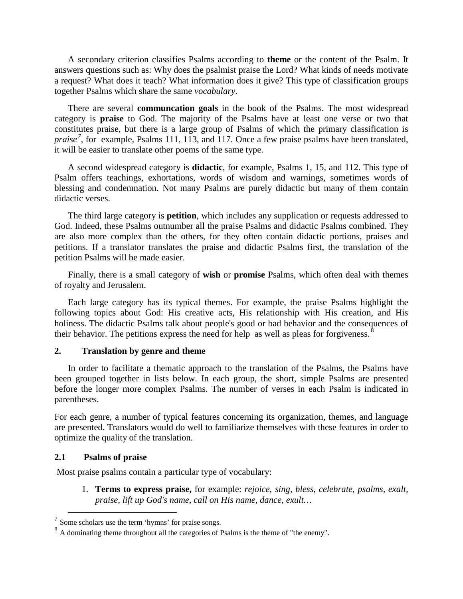A secondary criterion classifies Psalms according to **theme** or the content of the Psalm. It answers questions such as: Why does the psalmist praise the Lord? What kinds of needs motivate a request? What does it teach? What information does it give? This type of classification groups together Psalms which share the same *vocabulary*.

There are several **communcation goals** in the book of the Psalms. The most widespread category is **praise** to God. The majority of the Psalms have at least one verse or two that constitutes praise, but there is a large group of Psalms of which the primary classification is praise<sup>7</sup>, for example, Psalms 111, 113, and 117. Once a few praise psalms have been translated, it will be easier to translate other poems of the same type.

A second widespread category is **didactic**, for example, Psalms 1, 15, and 112. This type of Psalm offers teachings, exhortations, words of wisdom and warnings, sometimes words of blessing and condemnation. Not many Psalms are purely didactic but many of them contain didactic verses.

The third large category is **petition**, which includes any supplication or requests addressed to God. Indeed, these Psalms outnumber all the praise Psalms and didactic Psalms combined. They are also more complex than the others, for they often contain didactic portions, praises and petitions. If a translator translates the praise and didactic Psalms first, the translation of the petition Psalms will be made easier.

Finally, there is a small category of **wish** or **promise** Psalms, which often deal with themes of royalty and Jerusalem.

Each large category has its typical themes. For example, the praise Psalms highlight the following topics about God: His creative acts, His relationship with His creation, and His holiness. The didactic Psalms talk about people's good or bad behavior and the consequences of their behavior. The petitions express the need for help as well as pleas for forgiveness. $8$ 

### **2. Translation by genre and theme**

In order to facilitate a thematic approach to the translation of the Psalms, the Psalms have been grouped together in lists below. In each group, the short, simple Psalms are presented before the longer more complex Psalms. The number of verses in each Psalm is indicated in parentheses.

For each genre, a number of typical features concerning its organization, themes, and language are presented. Translators would do well to familiarize themselves with these features in order to optimize the quality of the translation.

### **2.1 Psalms of praise**

Most praise psalms contain a particular type of vocabulary:

1. **Terms to express praise,** for example: *rejoice, sing, bless, celebrate, psalms, exalt, praise, lift up God's name, call on His name, dance, exult…*

 $<sup>7</sup>$  Some scholars use the term 'hymns' for praise songs.</sup>

<sup>&</sup>lt;sup>8</sup> A dominating theme throughout all the categories of Psalms is the theme of "the enemy".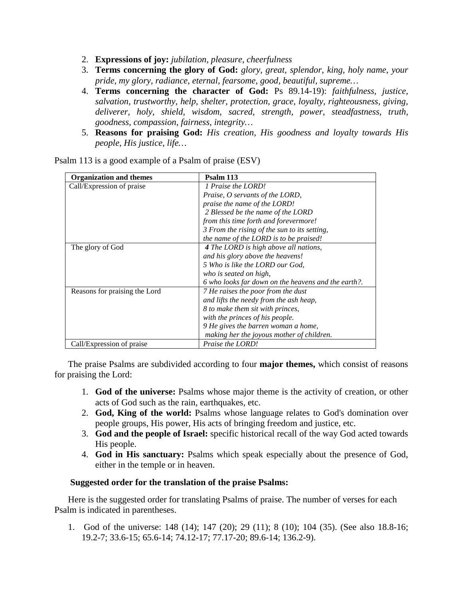- 2. **Expressions of joy:** *jubilation, pleasure, cheerfulness*
- 3. **Terms concerning the glory of God:** *glory, great, splendor, king, holy name, your pride, my glory, radiance, eternal, fearsome, good, beautiful, supreme…*
- 4. **Terms concerning the character of God:** Ps 89.14-19): *faithfulness, justice, salvation, trustworthy, help, shelter, protection, grace, loyalty, righteousness, giving, deliverer, holy, shield, wisdom, sacred, strength, power, steadfastness, truth, goodness, compassion, fairness, integrity…*
- 5. **Reasons for praising God:** *His creation, His goodness and loyalty towards His people, His justice, life…*

| <b>Organization and themes</b> | Psalm 113                                           |
|--------------------------------|-----------------------------------------------------|
| Call/Expression of praise      | 1 Praise the LORD!                                  |
|                                | <i>Praise, O servants of the LORD,</i>              |
|                                | praise the name of the LORD!                        |
|                                | 2 Blessed be the name of the LORD                   |
|                                | from this time forth and forevermore!               |
|                                | 3 From the rising of the sun to its setting,        |
|                                | the name of the LORD is to be praised!              |
| The glory of God               | 4 The LORD is high above all nations,               |
|                                | and his glory above the heavens!                    |
|                                | 5 Who is like the LORD our God.                     |
|                                | who is seated on high,                              |
|                                | 6 who looks far down on the heavens and the earth?. |
| Reasons for praising the Lord  | 7 He raises the poor from the dust                  |
|                                | and lifts the needy from the ash heap,              |
|                                | 8 to make them sit with princes,                    |
|                                | with the princes of his people.                     |
|                                | 9 He gives the barren woman a home,                 |
|                                | making her the joyous mother of children.           |
| Call/Expression of praise      | Praise the LORD!                                    |

Psalm 113 is a good example of a Psalm of praise (ESV)

The praise Psalms are subdivided according to four **major themes,** which consist of reasons for praising the Lord:

- 1. **God of the universe:** Psalms whose major theme is the activity of creation, or other acts of God such as the rain, earthquakes, etc.
- 2. **God, King of the world:** Psalms whose language relates to God's domination over people groups, His power, His acts of bringing freedom and justice, etc.
- 3. **God and the people of Israel:** specific historical recall of the way God acted towards His people.
- 4. **God in His sanctuary:** Psalms which speak especially about the presence of God, either in the temple or in heaven.

#### **Suggested order for the translation of the praise Psalms:**

Here is the suggested order for translating Psalms of praise. The number of verses for each Psalm is indicated in parentheses.

1. God of the universe: 148 (14); 147 (20); 29 (11); 8 (10); 104 (35). (See also 18.8-16; 19.2-7; 33.6-15; 65.6-14; 74.12-17; 77.17-20; 89.6-14; 136.2-9).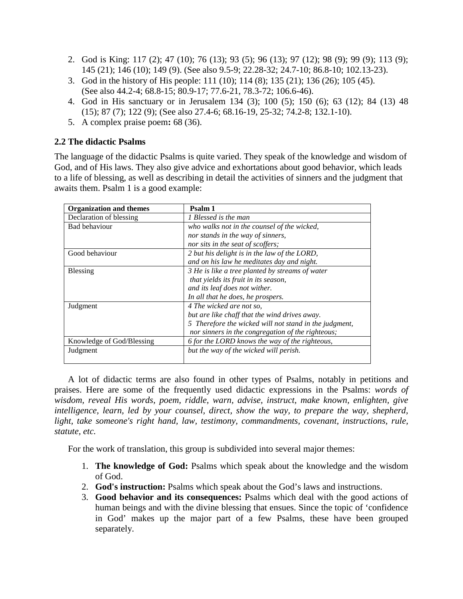- 2. God is King: 117 (2); 47 (10); 76 (13); 93 (5); 96 (13); 97 (12); 98 (9); 99 (9); 113 (9); 145 (21); 146 (10); 149 (9). (See also 9.5-9; 22.28-32; 24.7-10; 86.8-10; 102.13-23).
- 3. God in the history of His people: 111 (10); 114 (8); 135 (21); 136 (26); 105 (45). (See also 44.2-4; 68.8-15; 80.9-17; 77.6-21, 78.3-72; 106.6-46).
- 4. God in His sanctuary or in Jerusalem 134 (3); 100 (5); 150 (6); 63 (12); 84 (13) 48 (15); 87 (7); 122 (9); (See also 27.4-6; 68.16-19, 25-32; 74.2-8; 132.1-10).
- 5. A complex praise poem**:** 68 (36).

# **2.2 The didactic Psalms**

The language of the didactic Psalms is quite varied. They speak of the knowledge and wisdom of God, and of His laws. They also give advice and exhortations about good behavior, which leads to a life of blessing, as well as describing in detail the activities of sinners and the judgment that awaits them. Psalm 1 is a good example:

| <b>Organization and themes</b> | Psalm 1                                                |
|--------------------------------|--------------------------------------------------------|
| Declaration of blessing        | 1 Blessed is the man                                   |
| Bad behaviour                  | who walks not in the counsel of the wicked,            |
|                                | nor stands in the way of sinners,                      |
|                                | nor sits in the seat of scoffers;                      |
| Good behaviour                 | 2 but his delight is in the law of the LORD,           |
|                                | and on his law he meditates day and night.             |
| <b>Blessing</b>                | 3 He is like a tree planted by streams of water        |
|                                | that yields its fruit in its season,                   |
|                                | and its leaf does not wither.                          |
|                                | In all that he does, he prospers.                      |
| Judgment                       | 4 The wicked are not so.                               |
|                                | but are like chaff that the wind drives away.          |
|                                | 5 Therefore the wicked will not stand in the judgment, |
|                                | nor sinners in the congregation of the righteous;      |
| Knowledge of God/Blessing      | 6 for the LORD knows the way of the righteous,         |
| Judgment                       | but the way of the wicked will perish.                 |
|                                |                                                        |

A lot of didactic terms are also found in other types of Psalms, notably in petitions and praises. Here are some of the frequently used didactic expressions in the Psalms: *words of wisdom, reveal His words, poem, riddle, warn, advise, instruct, make known, enlighten, give intelligence, learn, led by your counsel, direct, show the way, to prepare the way, shepherd, light, take someone's right hand, law, testimony, commandments, covenant, instructions, rule, statute, etc.*

For the work of translation, this group is subdivided into several major themes:

- 1. **The knowledge of God:** Psalms which speak about the knowledge and the wisdom of God.
- 2. **God's instruction:** Psalms which speak about the God's laws and instructions.
- 3. **Good behavior and its consequences:** Psalms which deal with the good actions of human beings and with the divine blessing that ensues. Since the topic of 'confidence in God' makes up the major part of a few Psalms, these have been grouped separately.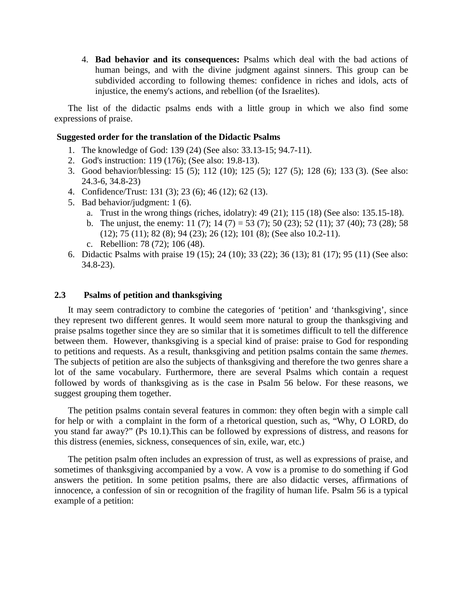4. **Bad behavior and its consequences:** Psalms which deal with the bad actions of human beings, and with the divine judgment against sinners. This group can be subdivided according to following themes: confidence in riches and idols, acts of injustice, the enemy's actions, and rebellion (of the Israelites).

The list of the didactic psalms ends with a little group in which we also find some expressions of praise.

### **Suggested order for the translation of the Didactic Psalms**

- 1. The knowledge of God: 139 (24) (See also: 33.13-15; 94.7-11).
- 2. God's instruction: 119 (176); (See also: 19.8-13).
- 3. Good behavior/blessing: 15 (5); 112 (10); 125 (5); 127 (5); 128 (6); 133 (3). (See also: 24.3-6, 34.8-23)
- 4. Confidence/Trust: 131 (3); 23 (6); 46 (12); 62 (13).
- 5. Bad behavior/judgment: 1 (6).
	- a. Trust in the wrong things (riches, idolatry): 49 (21); 115 (18) (See also: 135.15-18).
	- b. The unjust, the enemy: 11 (7); 14 (7) = 53 (7); 50 (23); 52 (11); 37 (40); 73 (28); 58 (12); 75 (11); 82 (8); 94 (23); 26 (12); 101 (8); (See also 10.2-11).
	- c. Rebellion: 78 (72); 106 (48).
- 6. Didactic Psalms with praise 19 (15); 24 (10); 33 (22); 36 (13); 81 (17); 95 (11) (See also: 34.8-23).

#### **2.3 Psalms of petition and thanksgiving**

It may seem contradictory to combine the categories of 'petition' and 'thanksgiving', since they represent two different genres. It would seem more natural to group the thanksgiving and praise psalms together since they are so similar that it is sometimes difficult to tell the difference between them. However, thanksgiving is a special kind of praise: praise to God for responding to petitions and requests. As a result, thanksgiving and petition psalms contain the same *themes*. The subjects of petition are also the subjects of thanksgiving and therefore the two genres share a lot of the same vocabulary. Furthermore, there are several Psalms which contain a request followed by words of thanksgiving as is the case in Psalm 56 below. For these reasons, we suggest grouping them together.

The petition psalms contain several features in common: they often begin with a simple call for help or with a complaint in the form of a rhetorical question, such as, "Why, O LORD, do you stand far away?" (Ps 10.1).This can be followed by expressions of distress, and reasons for this distress (enemies, sickness, consequences of sin, exile, war, etc.)

The petition psalm often includes an expression of trust, as well as expressions of praise, and sometimes of thanksgiving accompanied by a vow. A vow is a promise to do something if God answers the petition. In some petition psalms, there are also didactic verses, affirmations of innocence, a confession of sin or recognition of the fragility of human life. Psalm 56 is a typical example of a petition: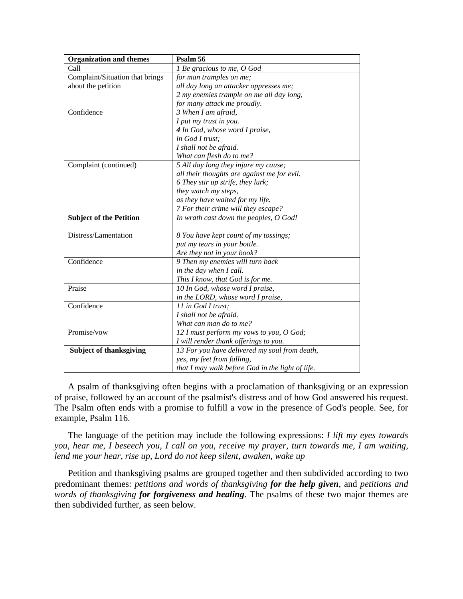| <b>Organization and themes</b>  | Psalm 56                                         |
|---------------------------------|--------------------------------------------------|
| Call                            | 1 Be gracious to me, O God                       |
| Complaint/Situation that brings | for man tramples on me;                          |
| about the petition              | all day long an attacker oppresses me;           |
|                                 | 2 my enemies trample on me all day long,         |
|                                 | for many attack me proudly.                      |
| Confidence                      | 3 When I am afraid,                              |
|                                 | I put my trust in you.                           |
|                                 | 4 In God, whose word I praise,                   |
|                                 | in God I trust:                                  |
|                                 | I shall not be afraid.                           |
|                                 | What can flesh do to me?                         |
| Complaint (continued)           | 5 All day long they injure my cause;             |
|                                 | all their thoughts are against me for evil.      |
|                                 | 6 They stir up strife, they lurk;                |
|                                 | they watch my steps,                             |
|                                 | as they have waited for my life.                 |
|                                 | 7 For their crime will they escape?              |
| <b>Subject of the Petition</b>  | In wrath cast down the peoples, O God!           |
| Distress/Lamentation            | 8 You have kept count of my tossings;            |
|                                 | put my tears in your bottle.                     |
|                                 | Are they not in your book?                       |
| Confidence                      | 9 Then my enemies will turn back                 |
|                                 | in the day when I call.                          |
|                                 | This I know, that God is for me.                 |
| Praise                          | 10 In God, whose word I praise,                  |
|                                 | in the LORD, whose word I praise,                |
| Confidence                      | 11 in God I trust:                               |
|                                 | I shall not be afraid.                           |
|                                 | What can man do to me?                           |
| Promise/vow                     | 12 I must perform my vows to you, O God;         |
|                                 | I will render thank offerings to you.            |
| <b>Subject of thanksgiving</b>  | 13 For you have delivered my soul from death,    |
|                                 | yes, my feet from falling,                       |
|                                 | that I may walk before God in the light of life. |

A psalm of thanksgiving often begins with a proclamation of thanksgiving or an expression of praise, followed by an account of the psalmist's distress and of how God answered his request. The Psalm often ends with a promise to fulfill a vow in the presence of God's people. See, for example, Psalm 116.

The language of the petition may include the following expressions: *I lift my eyes towards you, hear me, I beseech you, I call on you, receive my prayer, turn towards me, I am waiting, lend me your hear, rise up, Lord do not keep silent, awaken, wake up*

Petition and thanksgiving psalms are grouped together and then subdivided according to two predominant themes: *petitions and words of thanksgiving for the help given*, and *petitions and words of thanksgiving for forgiveness and healing*. The psalms of these two major themes are then subdivided further, as seen below.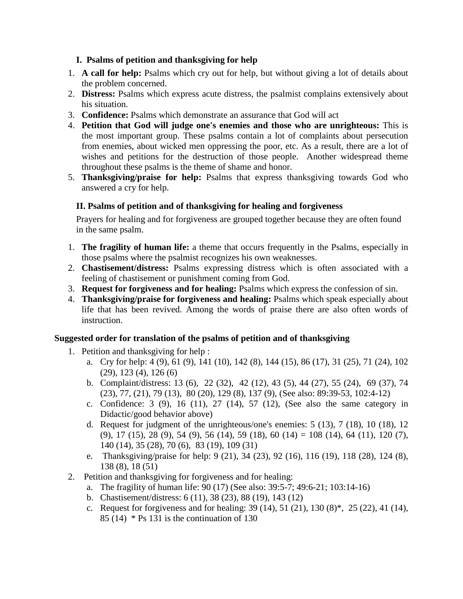## **I. Psalms of petition and thanksgiving for help**

- 1. **A call for help:** Psalms which cry out for help, but without giving a lot of details about the problem concerned.
- 2. **Distress:** Psalms which express acute distress, the psalmist complains extensively about his situation.
- 3. **Confidence:** Psalms which demonstrate an assurance that God will act
- 4. **Petition that God will judge one's enemies and those who are unrighteous:** This is the most important group. These psalms contain a lot of complaints about persecution from enemies, about wicked men oppressing the poor, etc. As a result, there are a lot of wishes and petitions for the destruction of those people. Another widespread theme throughout these psalms is the theme of shame and honor.
- 5. **Thanksgiving/praise for help:** Psalms that express thanksgiving towards God who answered a cry for help.

# **II. Psalms of petition and of thanksgiving for healing and forgiveness**

Prayers for healing and for forgiveness are grouped together because they are often found in the same psalm.

- 1. **The fragility of human life:** a theme that occurs frequently in the Psalms, especially in those psalms where the psalmist recognizes his own weaknesses.
- 2. **Chastisement/distress:** Psalms expressing distress which is often associated with a feeling of chastisement or punishment coming from God.
- 3. **Request for forgiveness and for healing:** Psalms which express the confession of sin.
- 4. **Thanksgiving/praise for forgiveness and healing:** Psalms which speak especially about life that has been revived. Among the words of praise there are also often words of instruction.

# **Suggested order for translation of the psalms of petition and of thanksgiving**

- 1. Petition and thanksgiving for help :
	- a. Cry for help: 4 (9), 61 (9), 141 (10), 142 (8), 144 (15), 86 (17), 31 (25), 71 (24), 102 (29), 123 (4), 126 (6)
	- b. Complaint/distress: 13 (6), 22 (32), 42 (12), 43 (5), 44 (27), 55 (24), 69 (37), 74 (23), 77, (21), 79 (13), 80 (20), 129 (8), 137 (9), (See also: 89:39-53, 102:4-12)
	- c. Confidence: 3 (9), 16 (11), 27 (14), 57 (12), (See also the same category in Didactic/good behavior above)
	- d. Request for judgment of the unrighteous/one's enemies: 5 (13), 7 (18), 10 (18), 12 (9), 17 (15), 28 (9), 54 (9), 56 (14), 59 (18), 60 (14) = 108 (14), 64 (11), 120 (7), 140 (14), 35 (28), 70 (6), 83 (19), 109 (31)
	- e. Thanksgiving/praise for help: 9 (21), 34 (23), 92 (16), 116 (19), 118 (28), 124 (8), 138 (8), 18 (51)
- 2. Petition and thanksgiving for forgiveness and for healing:
	- a. The fragility of human life: 90 (17) (See also: 39:5-7; 49:6-21; 103:14-16)
	- b. Chastisement/distress: 6 (11), 38 (23), 88 (19), 143 (12)
	- c. Request for forgiveness and for healing:  $39(14)$ ,  $51(21)$ ,  $130(8)$ <sup>\*</sup>,  $25(22)$ ,  $41(14)$ , 85 (14)  $*$  Ps 131 is the continuation of 130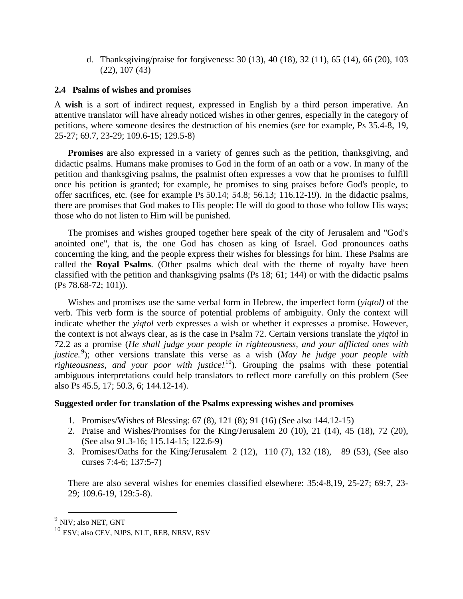d. Thanksgiving/praise for forgiveness: 30 (13), 40 (18), 32 (11), 65 (14), 66 (20), 103 (22), 107 (43)

#### **2.4 Psalms of wishes and promises**

A **wish** is a sort of indirect request, expressed in English by a third person imperative. An attentive translator will have already noticed wishes in other genres, especially in the category of petitions, where someone desires the destruction of his enemies (see for example, Ps 35.4-8, 19, 25-27; 69.7, 23-29; 109.6-15; 129.5-8)

**Promises** are also expressed in a variety of genres such as the petition, thanksgiving, and didactic psalms. Humans make promises to God in the form of an oath or a vow. In many of the petition and thanksgiving psalms, the psalmist often expresses a vow that he promises to fulfill once his petition is granted; for example, he promises to sing praises before God's people, to offer sacrifices, etc. (see for example Ps 50.14; 54.8; 56.13; 116.12-19). In the didactic psalms, there are promises that God makes to His people: He will do good to those who follow His ways; those who do not listen to Him will be punished.

The promises and wishes grouped together here speak of the city of Jerusalem and "God's anointed one", that is, the one God has chosen as king of Israel. God pronounces oaths concerning the king, and the people express their wishes for blessings for him. These Psalms are called the **Royal Psalms**. (Other psalms which deal with the theme of royalty have been classified with the petition and thanksgiving psalms (Ps 18; 61; 144) or with the didactic psalms (Ps 78.68-72; 101)).

Wishes and promises use the same verbal form in Hebrew, the imperfect form (*yiqtol)* of the verb*.* This verb form is the source of potential problems of ambiguity. Only the context will indicate whether the *yiqtol* verb expresses a wish or whether it expresses a promise. However, the context is not always clear, as is the case in Psalm 72. Certain versions translate the *yiqtol* in 72.2 as a promise (*He shall judge your people in righteousness, and your afflicted ones with*  justice.<sup>9</sup>); other versions translate this verse as a wish (*May he judge your people with* righteousness, and your poor with justice!<sup>10</sup>). Grouping the psalms with these potential ambiguous interpretations could help translators to reflect more carefully on this problem (See also Ps 45.5, 17; 50.3, 6; 144.12-14).

### **Suggested order for translation of the Psalms expressing wishes and promises**

- 1. Promises/Wishes of Blessing: 67 (8), 121 (8); 91 (16) (See also 144.12-15)
- 2. Praise and Wishes/Promises for the King/Jerusalem 20 (10), 21 (14), 45 (18), 72 (20), (See also 91.3-16; 115.14-15; 122.6-9)
- 3. Promises/Oaths for the King/Jerusalem 2 (12), 110 (7), 132 (18), 89 (53), (See also curses 7:4-6; 137:5-7)

There are also several wishes for enemies classified elsewhere: 35:4-8,19, 25-27; 69:7, 23- 29; 109.6-19, 129:5-8).

 <sup>9</sup> NIV; also NET, GNT

<sup>&</sup>lt;sup>10</sup> ESV; also CEV, NJPS, NLT, REB, NRSV, RSV